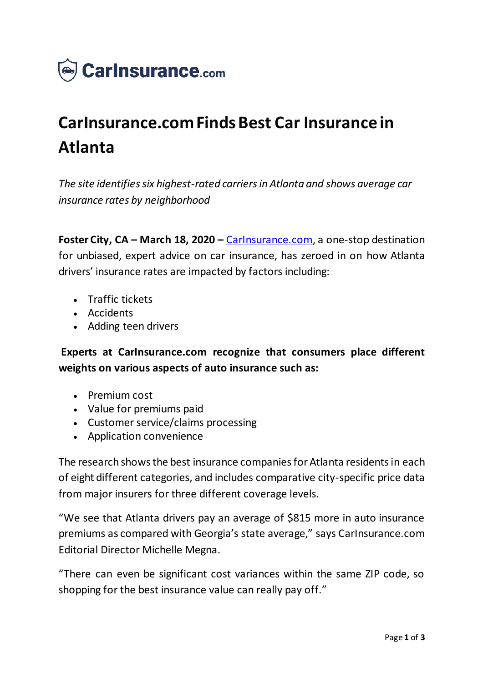

## **CarInsurance.com Finds Best Car Insurance in Atlanta**

*The site identifies six highest-rated carriers in Atlanta and shows average car insurance rates by neighborhood*

**Foster City, CA – March 18, 2020 –** [CarInsurance.com,](https://www.carinsurance.com/) a one-stop destination for unbiased, expert advice on car insurance, has zeroed in on how Atlanta drivers' insurance rates are impacted by factors including:

- Traffic tickets
- Accidents
- Adding teen drivers

**Experts at CarInsurance.com recognize that consumers place different weights on various aspects of auto insurance such as:**

- Premium cost
- Value for premiums paid
- Customer service/claims processing
- Application convenience

The research shows the best insurance companies for Atlanta residents in each of eight different categories, and includes comparative city-specific price data from major insurers for three different coverage levels.

"We see that Atlanta drivers pay an average of \$815 more in auto insurance premiums as compared with Georgia's state average," says CarInsurance.com Editorial Director Michelle Megna.

"There can even be significant cost variances within the same ZIP code, so shopping for the best insurance value can really pay off."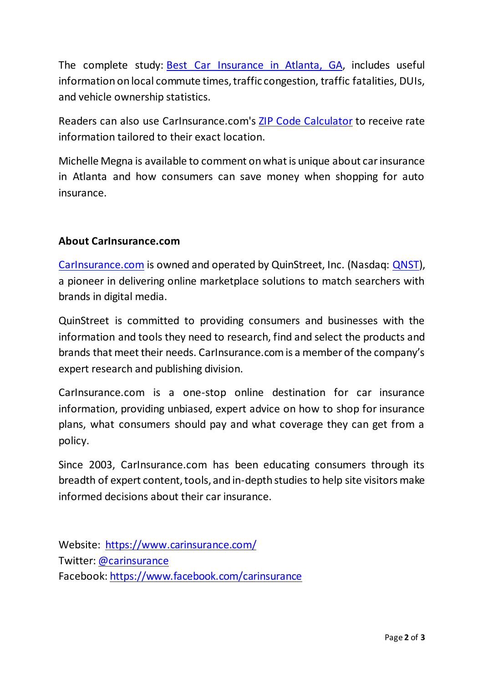The complete study: **Best [Car Insurance in Atlanta, GA](https://www.carinsurance.com/atlanta-car-insurance-ga/)**, includes useful information on local commute times, traffic congestion, traffic fatalities, DUIs, and vehicle ownership statistics.

Readers can also use CarInsurance.com's [ZIP Code Calculator](https://www.carinsurance.com/calculators/average-car-insurance-rates.aspx) to receive rate information tailored to their exact location.

Michelle Megna is available to comment on what is unique about car insurance in Atlanta and how consumers can save money when shopping for auto insurance.

## **About CarInsurance.com**

[CarInsurance.com](https://www.carinsurance.com/) is owned and operated by QuinStreet, Inc. (Nasdaq: [QNST\)](https://www.nasdaq.com/symbol/qnst), a pioneer in delivering online marketplace solutions to match searchers with brands in digital media.

QuinStreet is committed to providing consumers and businesses with the information and tools they need to research, find and select the products and brands that meet their needs. CarInsurance.com is a member of the company's expert research and publishing division.

CarInsurance.com is a one-stop online destination for car insurance information, providing unbiased, expert advice on how to shop for insurance plans, what consumers should pay and what coverage they can get from a policy.

Since 2003, CarInsurance.com has been educating consumers through its breadth of expert content, tools, and in-depth studies to help site visitors make informed decisions about their car insurance.

Website: <https://www.carinsurance.com/> Twitter: [@carinsurance](https://twitter.com/carinsurance) Facebook: <https://www.facebook.com/carinsurance>